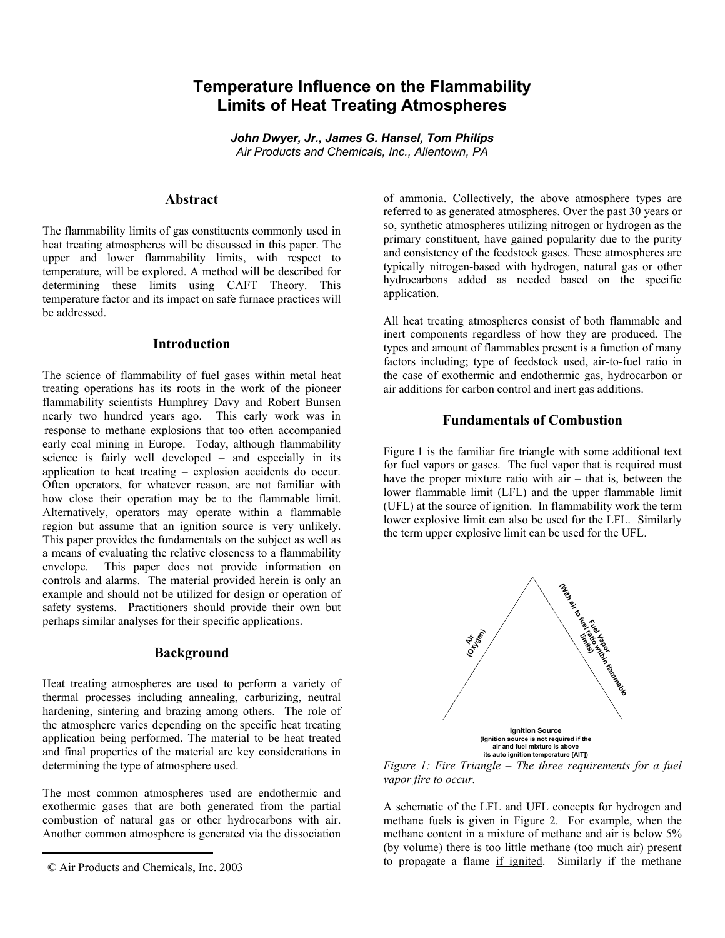# **Temperature Influence on the Flammability Limits of Heat Treating Atmospheres**

*John Dwyer, Jr., James G. Hansel, Tom Philips Air Products and Chemicals, Inc., Allentown, PA* 

#### **Abstract**

The flammability limits of gas constituents commonly used in heat treating atmospheres will be discussed in this paper. The upper and lower flammability limits, with respect to temperature, will be explored. A method will be described for determining these limits using CAFT Theory. This temperature factor and its impact on safe furnace practices will be addressed.

### **Introduction**

The science of flammability of fuel gases within metal heat treating operations has its roots in the work of the pioneer flammability scientists Humphrey Davy and Robert Bunsen nearly two hundred years ago. This early work was in [r](#page-0-0)esponse to methane explosions that too often accompanied early coal mining in Europe. Today, although flammability science is fairly well developed – and especially in its application to heat treating – explosion accidents do occur. Often operators, for whatever reason, are not familiar with how close their operation may be to the flammable limit. Alternatively, operators may operate within a flammable region but assume that an ignition source is very unlikely. This paper provides the fundamentals on the subject as well as a means of evaluating the relative closeness to a flammability envelope. This paper does not provide information on controls and alarms. The material provided herein is only an example and should not be utilized for design or operation of safety systems. Practitioners should provide their own but perhaps similar analyses for their specific applications.

#### **Background**

Heat treating atmospheres are used to perform a variety of thermal processes including annealing, carburizing, neutral hardening, sintering and brazing among others. The role of the atmosphere varies depending on the specific heat treating application being performed. The material to be heat treated and final properties of the material are key considerations in determining the type of atmosphere used.

The most common atmospheres used are endothermic and exothermic gases that are both generated from the partial combustion of natural gas or other hydrocarbons with air. Another common atmosphere is generated via the dissociation

of ammonia. Collectively, the above atmosphere types are referred to as generated atmospheres. Over the past 30 years or so, synthetic atmospheres utilizing nitrogen or hydrogen as the primary constituent, have gained popularity due to the purity and consistency of the feedstock gases. These atmospheres are typically nitrogen-based with hydrogen, natural gas or other hydrocarbons added as needed based on the specific application.

All heat treating atmospheres consist of both flammable and inert components regardless of how they are produced. The types and amount of flammables present is a function of many factors including; type of feedstock used, air-to-fuel ratio in the case of exothermic and endothermic gas, hydrocarbon or air additions for carbon control and inert gas additions.

## **Fundamentals of Combustion**

Figure 1 is the familiar fire triangle with some additional text for fuel vapors or gases. The fuel vapor that is required must have the proper mixture ratio with air – that is, between the lower flammable limit (LFL) and the upper flammable limit (UFL) at the source of ignition. In flammability work the term lower explosive limit can also be used for the LFL. Similarly the term upper explosive limit can be used for the UFL.



**(Ignition source is not required if the air and fuel mixture is above its auto ignition temperature [AIT])**

*Figure 1: Fire Triangle – The three requirements for a fuel vapor fire to occur.* 

A schematic of the LFL and UFL concepts for hydrogen and methane fuels is given in Figure 2. For example, when the methane content in a mixture of methane and air is below 5% (by volume) there is too little methane (too much air) present to propagate a flame if ignited. Similarly if the methane

<span id="page-0-0"></span> <sup>©</sup> Air Products and Chemicals, Inc. 2003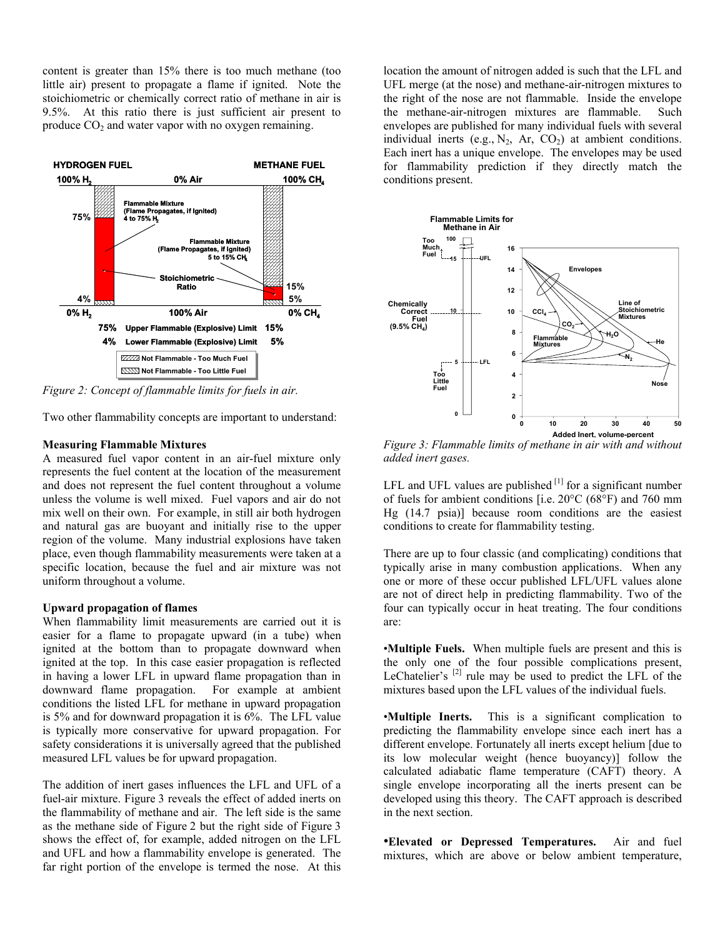content is greater than 15% there is too much methane (too little air) present to propagate a flame if ignited. Note the stoichiometric or chemically correct ratio of methane in air is 9.5%. At this ratio there is just sufficient air present to produce  $CO<sub>2</sub>$  and water vapor with no oxygen remaining.



*Figure 2: Concept of flammable limits for fuels in air.* 

Two other flammability concepts are important to understand:

#### **Measuring Flammable Mixtures**

A measured fuel vapor content in an air-fuel mixture only represents the fuel content at the location of the measurement and does not represent the fuel content throughout a volume unless the volume is well mixed. Fuel vapors and air do not mix well on their own. For example, in still air both hydrogen and natural gas are buoyant and initially rise to the upper region of the volume. Many industrial explosions have taken place, even though flammability measurements were taken at a specific location, because the fuel and air mixture was not uniform throughout a volume.

#### **Upward propagation of flames**

When flammability limit measurements are carried out it is easier for a flame to propagate upward (in a tube) when ignited at the bottom than to propagate downward when ignited at the top. In this case easier propagation is reflected in having a lower LFL in upward flame propagation than in downward flame propagation. For example at ambient conditions the listed LFL for methane in upward propagation is 5% and for downward propagation it is 6%. The LFL value is typically more conservative for upward propagation. For safety considerations it is universally agreed that the published measured LFL values be for upward propagation.

The addition of inert gases influences the LFL and UFL of a fuel-air mixture. Figure 3 reveals the effect of added inerts on the flammability of methane and air. The left side is the same as the methane side of Figure 2 but the right side of Figure 3 shows the effect of, for example, added nitrogen on the LFL and UFL and how a flammability envelope is generated. The far right portion of the envelope is termed the nose. At this

location the amount of nitrogen added is such that the LFL and UFL merge (at the nose) and methane-air-nitrogen mixtures to the right of the nose are not flammable. Inside the envelope the methane-air-nitrogen mixtures are flammable. Such envelopes are published for many individual fuels with several individual inerts (e.g.,  $N_2$ , Ar,  $CO_2$ ) at ambient conditions. Each inert has a unique envelope. The envelopes may be used for flammability prediction if they directly match the conditions present.



*Figure 3: Flammable limits of methane in air with and without added inert gases.* 

LFL and UFL values are published  $[1]$  for a significant number of fuels for ambient conditions [i.e. 20°C (68°F) and 760 mm Hg (14.7 psia)] because room conditions are the easiest conditions to create for flammability testing.

There are up to four classic (and complicating) conditions that typically arise in many combustion applications. When any one or more of these occur published LFL/UFL values alone are not of direct help in predicting flammability. Two of the four can typically occur in heat treating. The four conditions are:

•**Multiple Fuels.** When multiple fuels are present and this is the only one of the four possible complications present, LeChatelier's  $^{[2]}$  rule may be used to predict the LFL of the mixtures based upon the LFL values of the individual fuels.

•**Multiple Inerts.** This is a significant complication to predicting the flammability envelope since each inert has a different envelope. Fortunately all inerts except helium [due to its low molecular weight (hence buoyancy)] follow the calculated adiabatic flame temperature (CAFT) theory. A single envelope incorporating all the inerts present can be developed using this theory. The CAFT approach is described in the next section.

•**Elevated or Depressed Temperatures.** Air and fuel mixtures, which are above or below ambient temperature,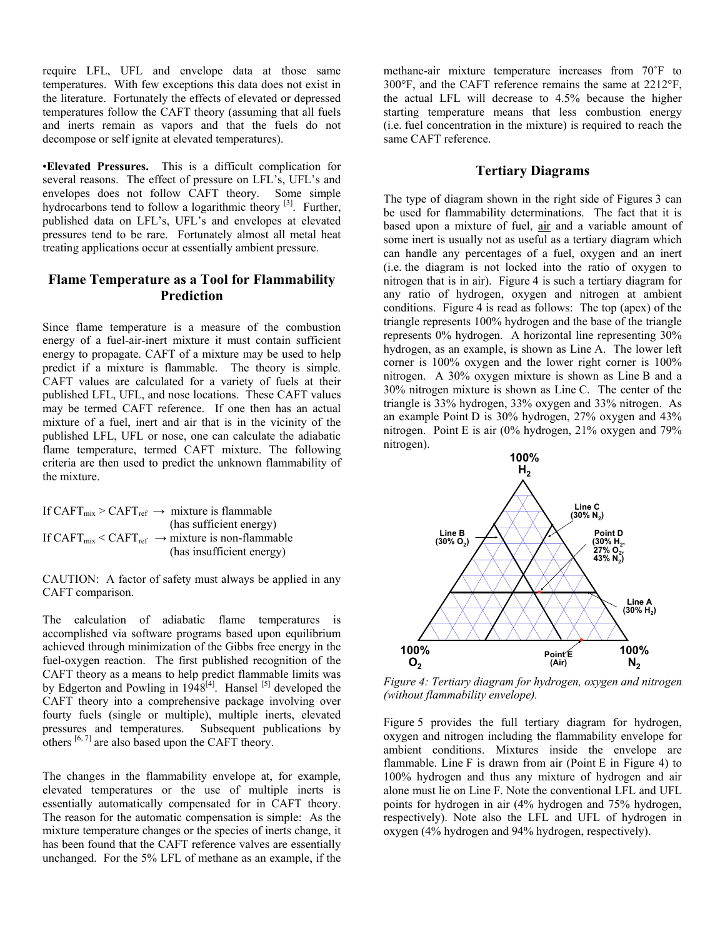require LFL, UFL and envelope data at those same temperatures. With few exceptions this data does not exist in the literature. Fortunately the effects of elevated or depressed temperatures follow the CAFT theory (assuming that all fuels and inerts remain as vapors and that the fuels do not decompose or self ignite at elevated temperatures).

•**Elevated Pressures.** This is a difficult complication for several reasons. The effect of pressure on LFL's, UFL's and envelopes does not follow CAFT theory. Some simple hydrocarbons tend to follow a logarithmic theory <sup>[3]</sup>. Further, published data on LFL's, UFL's and envelopes at elevated pressures tend to be rare. Fortunately almost all metal heat treating applications occur at essentially ambient pressure.

# **Flame Temperature as a Tool for Flammability Prediction**

Since flame temperature is a measure of the combustion energy of a fuel-air-inert mixture it must contain sufficient energy to propagate. CAFT of a mixture may be used to help predict if a mixture is flammable. The theory is simple. CAFT values are calculated for a variety of fuels at their published LFL, UFL, and nose locations. These CAFT values may be termed CAFT reference. If one then has an actual mixture of a fuel, inert and air that is in the vicinity of the published LFL, UFL or nose, one can calculate the adiabatic flame temperature, termed CAFT mixture. The following criteria are then used to predict the unknown flammability of the mixture.

If CAFT $_{mix}$  > CAFT $_{ref}$   $\rightarrow$  mixture is flammable (has sufficient energy) If  $CAPT_{mix} < CAPT_{ref} \rightarrow mixture$  is non-flammable (has insufficient energy)

CAUTION: A factor of safety must always be applied in any CAFT comparison.

The calculation of adiabatic flame temperatures is accomplished via software programs based upon equilibrium achieved through minimization of the Gibbs free energy in the fuel-oxygen reaction. The first published recognition of the CAFT theory as a means to help predict flammable limits was by Edgerton and Powling in  $1948^{[4]}$ . Hansel  $^{[5]}$  developed the CAFT theory into a comprehensive package involving over fourty fuels (single or multiple), multiple inerts, elevated pressures and temperatures. Subsequent publications by others  $[6, 7]$  are also based upon the CAFT theory.

The changes in the flammability envelope at, for example, elevated temperatures or the use of multiple inerts is essentially automatically compensated for in CAFT theory. The reason for the automatic compensation is simple: As the mixture temperature changes or the species of inerts change, it has been found that the CAFT reference valves are essentially unchanged. For the 5% LFL of methane as an example, if the

methane-air mixture temperature increases from 70˚F to 300°F, and the CAFT reference remains the same at 2212°F, the actual LFL will decrease to 4.5% because the higher starting temperature means that less combustion energy (i.e. fuel concentration in the mixture) is required to reach the same CAFT reference.

## **Tertiary Diagrams**

The type of diagram shown in the right side of Figures 3 can be used for flammability determinations. The fact that it is based upon a mixture of fuel, air and a variable amount of some inert is usually not as useful as a tertiary diagram which can handle any percentages of a fuel, oxygen and an inert (i.e. the diagram is not locked into the ratio of oxygen to nitrogen that is in air). Figure 4 is such a tertiary diagram for any ratio of hydrogen, oxygen and nitrogen at ambient conditions. Figure 4 is read as follows: The top (apex) of the triangle represents 100% hydrogen and the base of the triangle represents 0% hydrogen. A horizontal line representing 30% hydrogen, as an example, is shown as Line A. The lower left corner is 100% oxygen and the lower right corner is 100% nitrogen. A 30% oxygen mixture is shown as Line B and a 30% nitrogen mixture is shown as Line C. The center of the triangle is 33% hydrogen, 33% oxygen and 33% nitrogen. As an example Point D is 30% hydrogen, 27% oxygen and 43% nitrogen. Point E is air (0% hydrogen, 21% oxygen and 79% nitrogen).



*Figure 4: Tertiary diagram for hydrogen, oxygen and nitrogen (without flammability envelope).* 

Figure 5 provides the full tertiary diagram for hydrogen, oxygen and nitrogen including the flammability envelope for ambient conditions. Mixtures inside the envelope are flammable. Line  $F$  is drawn from air (Point  $E$  in Figure 4) to 100% hydrogen and thus any mixture of hydrogen and air alone must lie on Line F. Note the conventional LFL and UFL points for hydrogen in air (4% hydrogen and 75% hydrogen, respectively). Note also the LFL and UFL of hydrogen in oxygen (4% hydrogen and 94% hydrogen, respectively).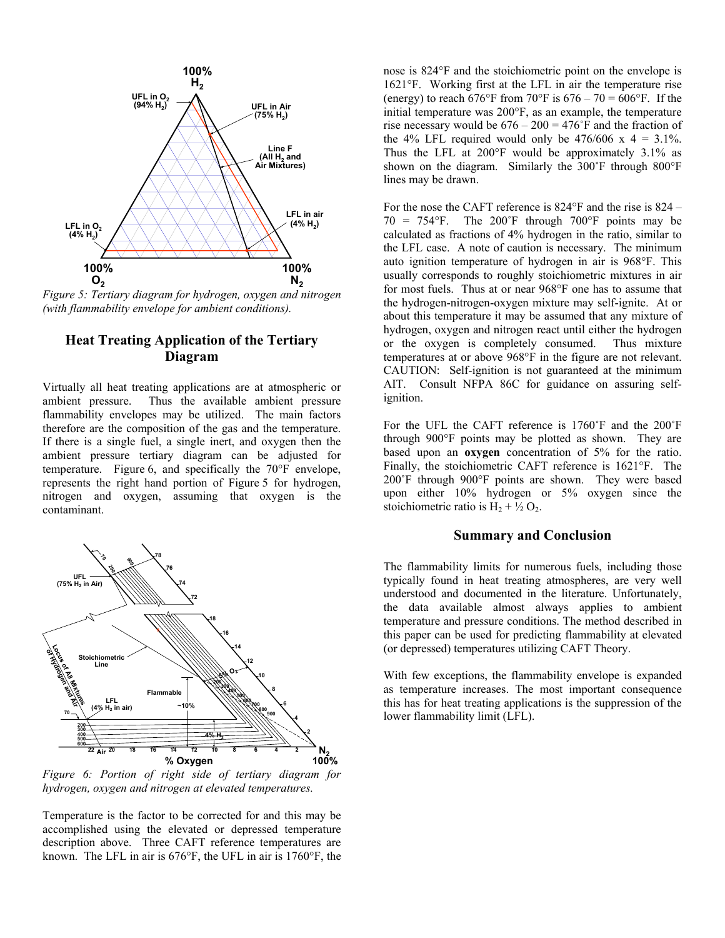

*Figure 5: Tertiary diagram for hydrogen, oxygen and nitrogen (with flammability envelope for ambient conditions).* 

# **Heat Treating Application of the Tertiary Diagram**

Virtually all heat treating applications are at atmospheric or ambient pressure. Thus the available ambient pressure flammability envelopes may be utilized. The main factors therefore are the composition of the gas and the temperature. If there is a single fuel, a single inert, and oxygen then the ambient pressure tertiary diagram can be adjusted for temperature. Figure 6, and specifically the 70°F envelope, represents the right hand portion of Figure 5 for hydrogen, nitrogen and oxygen, assuming that oxygen is the contaminant.



*Figure 6: Portion of right side of tertiary diagram for hydrogen, oxygen and nitrogen at elevated temperatures.* 

Temperature is the factor to be corrected for and this may be accomplished using the elevated or depressed temperature description above. Three CAFT reference temperatures are known. The LFL in air is 676°F, the UFL in air is 1760°F, the

nose is 824°F and the stoichiometric point on the envelope is 1621°F. Working first at the LFL in air the temperature rise (energy) to reach 676°F from 70°F is  $676 - 70 = 606$ °F. If the initial temperature was 200°F, as an example, the temperature rise necessary would be  $676 - 200 = 476$ °F and the fraction of the 4% LFL required would only be  $476/606$  x  $4 = 3.1\%$ . Thus the LFL at 200°F would be approximately 3.1% as shown on the diagram. Similarly the 300˚F through 800°F lines may be drawn.

For the nose the CAFT reference is 824°F and the rise is 824 –  $70 = 754$ °F. The  $200$ °F through  $700$ °F points may be calculated as fractions of 4% hydrogen in the ratio, similar to the LFL case. A note of caution is necessary. The minimum auto ignition temperature of hydrogen in air is 968°F. This usually corresponds to roughly stoichiometric mixtures in air for most fuels. Thus at or near 968°F one has to assume that the hydrogen-nitrogen-oxygen mixture may self-ignite. At or about this temperature it may be assumed that any mixture of hydrogen, oxygen and nitrogen react until either the hydrogen or the oxygen is completely consumed. Thus mixture temperatures at or above 968°F in the figure are not relevant. CAUTION: Self-ignition is not guaranteed at the minimum AIT. Consult NFPA 86C for guidance on assuring selfignition.

For the UFL the CAFT reference is 1760˚F and the 200˚F through 900°F points may be plotted as shown. They are based upon an **oxygen** concentration of 5% for the ratio. Finally, the stoichiometric CAFT reference is 1621°F. The 200˚F through 900°F points are shown. They were based upon either 10% hydrogen or 5% oxygen since the stoichiometric ratio is  $H_2 + \frac{1}{2} O_2$ .

### **Summary and Conclusion**

The flammability limits for numerous fuels, including those typically found in heat treating atmospheres, are very well understood and documented in the literature. Unfortunately, the data available almost always applies to ambient temperature and pressure conditions. The method described in this paper can be used for predicting flammability at elevated (or depressed) temperatures utilizing CAFT Theory.

With few exceptions, the flammability envelope is expanded as temperature increases. The most important consequence this has for heat treating applications is the suppression of the lower flammability limit (LFL).